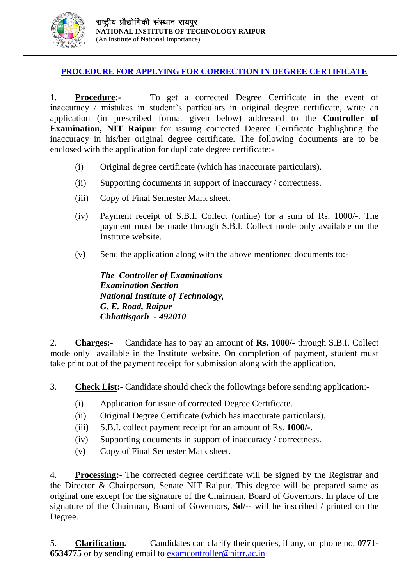

## **PROCEDURE FOR APPLYING FOR CORRECTION IN DEGREE CERTIFICATE**

1. **Procedure:-** To get a corrected Degree Certificate in the event of inaccuracy / mistakes in student's particulars in original degree certificate, write an application (in prescribed format given below) addressed to the **Controller of Examination, NIT Raipur** for issuing corrected Degree Certificate highlighting the inaccuracy in his/her original degree certificate. The following documents are to be enclosed with the application for duplicate degree certificate:-

- (i) Original degree certificate (which has inaccurate particulars).
- (ii) Supporting documents in support of inaccuracy / correctness.
- (iii) Copy of Final Semester Mark sheet.
- (iv) Payment receipt of S.B.I. Collect (online) for a sum of Rs. 1000/-. The payment must be made through S.B.I. Collect mode only available on the Institute website.
- (v) Send the application along with the above mentioned documents to:-

*The Controller of Examinations Examination Section National Institute of Technology, G. E. Road, Raipur Chhattisgarh - 492010* 

2. **Charges:-** Candidate has to pay an amount of **Rs. 1000/-** through S.B.I. Collect mode only available in the Institute website. On completion of payment, student must take print out of the payment receipt for submission along with the application.

3. **Check List:-** Candidate should check the followings before sending application:-

- (i) Application for issue of corrected Degree Certificate.
- (ii) Original Degree Certificate (which has inaccurate particulars).
- (iii) S.B.I. collect payment receipt for an amount of Rs. **1000/-.**
- (iv) Supporting documents in support of inaccuracy / correctness.
- (v) Copy of Final Semester Mark sheet.

4. **Processing:-** The corrected degree certificate will be signed by the Registrar and the Director & Chairperson, Senate NIT Raipur. This degree will be prepared same as original one except for the signature of the Chairman, Board of Governors. In place of the signature of the Chairman, Board of Governors, **Sd/--** will be inscribed / printed on the Degree.

5. **Clarification.** Candidates can clarify their queries, if any, on phone no. **0771- 6534775** or by sending email to [examcontroller@nitrr.ac.in](mailto:examcontroller@nitrr.ac.in)